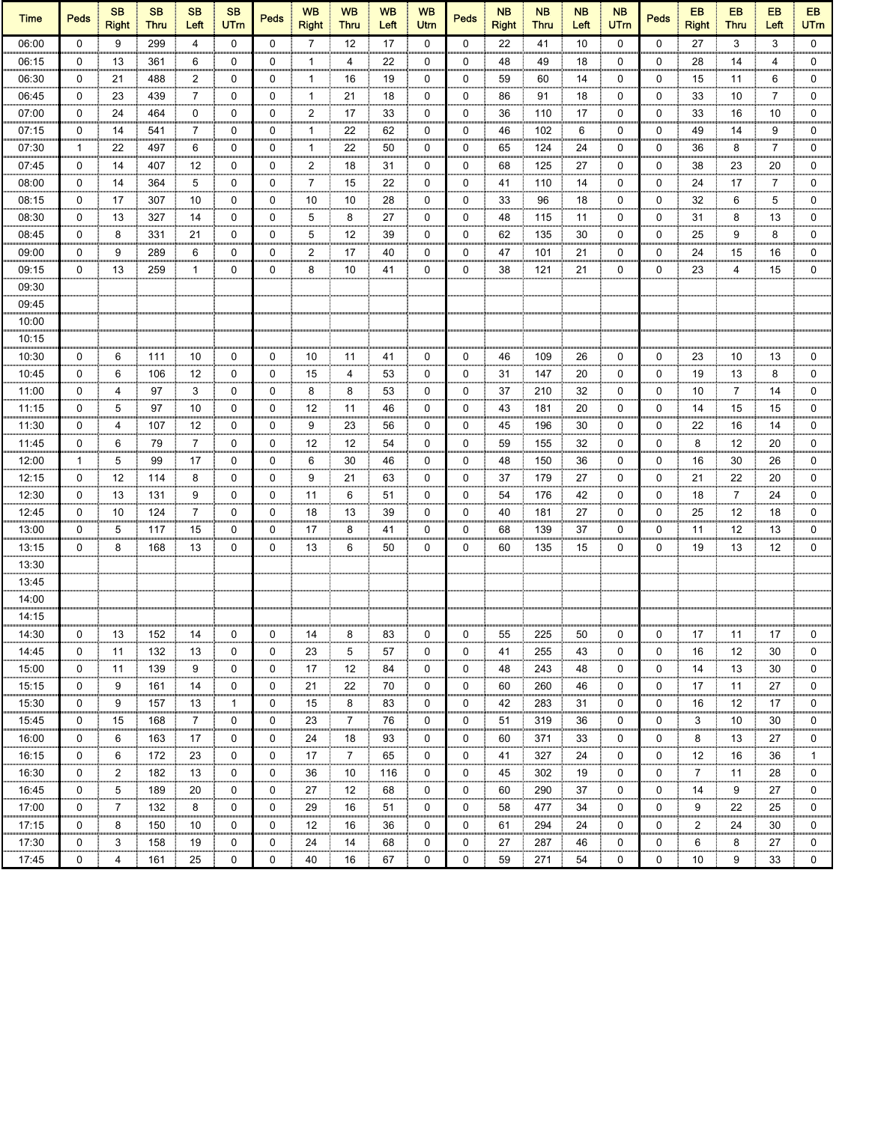| <b>Time</b> | Peds        | <b>SB</b><br><b>Right</b> | <b>SB</b><br><b>Thru</b> | <b>SB</b><br>Left | <b>SB</b><br><b>UTm</b>    | <b>Peds</b> | <b>WB</b><br><b>Right</b> | <b>WB</b><br><b>Thru</b> | <b>WB</b><br>Left | <b>WB</b><br>Utrn | <b>Peds</b>  | <b>NB</b><br><b>Right</b> | <b>NB</b><br>Thru | <b>NB</b><br>Left | <b>NB</b><br><b>UTm</b> | Peds         | EB<br><b>Right</b> | <b>EB</b><br><b>Thru</b> | <b>EB</b><br>Left | EB<br><b>UTm</b>          |
|-------------|-------------|---------------------------|--------------------------|-------------------|----------------------------|-------------|---------------------------|--------------------------|-------------------|-------------------|--------------|---------------------------|-------------------|-------------------|-------------------------|--------------|--------------------|--------------------------|-------------------|---------------------------|
| 06:00       | $\mathbf 0$ | 9                         | 299                      | 4                 | 0                          | $\mathbf 0$ | 7                         | 12                       | 17                | 0                 | 0            | 22                        | 41                | 10                | 0                       | 0            | 27                 | 3                        | 3                 | 0                         |
| 06:15       | 0           | 13                        | 361                      | 6                 | 0                          | 0           | $\mathbf{1}$              | 4                        | 22                | 0                 | 0            | 48                        | 49                | 18                | 0                       | 0            | 28                 | 14                       | 4                 | 0                         |
| 06:30       | 0           | 21                        | 488                      | 2                 | 0                          | 0           | $\mathbf{1}$              | 16                       | 19                | 0                 | 0            | 59                        | 60                | 14                | 0                       | 0            | 15                 | 11                       | 6                 | 0                         |
| 06:45       | 0           | 23                        | 439                      | $\overline{7}$    | 0                          | 0           | $\mathbf{1}$              | 21                       | 18                | 0                 | 0            | 86                        | 91                | 18                | 0                       | 0            | 33                 | 10                       | 7                 | 0                         |
| 07:00       | 0           | 24                        | 464                      | 0                 | 0                          | 0           | $\overline{2}$            | 17                       | 33                | 0                 | 0            | 36                        | 110               | 17                | 0                       | 0            | 33                 | 16                       | 10                | 0                         |
| 07:15       | 0           | 14                        | 541                      | $\overline{7}$    | 0                          | 0           | -1                        | 22                       | 62                | 0                 | 0            | 46                        | 102               | 6                 | 0                       | 0            | 49                 | 14                       | 9                 | 0                         |
| 07:30       | $\mathbf 1$ | 22                        | 497                      | 6                 | 0                          | 0           | $\mathbf 1$               | 22                       | 50                | 0                 | 0            | 65                        | 124               | 24                | 0                       | 0            | 36                 | 8                        | $\overline{7}$    | 0                         |
| 07:45       | 0           | 14                        | 407                      | 12                | 0                          | 0           | 2                         | 18                       | 31                | 0                 | 0            | 68                        | 125               | 27                | 0                       | 0            | 38                 | 23                       | 20                | 0                         |
| 08:00       | 0           | 14                        | 364                      | 5                 | 0                          | 0           | 7                         | 15                       | 22                | 0                 | 0            | 41                        | 110               | 14                | 0                       | 0            | 24                 | 17                       | 7                 | 0                         |
| 08:15       | 0           | 17                        | 307                      | 10                | 0                          | 0           | 10                        | 10                       | 28                | 0                 | 0            | 33                        | 96                | 18                | 0                       | 0            | 32                 | 6                        | 5                 | 0                         |
| 08:30       | 0           | 13                        | 327                      | 14                | 0                          | 0           | 5                         | 8                        | 27                | 0                 | 0            | 48                        | 115               | 11                | 0                       | 0            | 31                 | 8                        | 13                | 0                         |
| 08:45       | 0           | 8                         | 331                      | 21                | 0                          | 0           | 5                         | 12                       | 39                | 0                 | 0            | 62                        | 135               | 30                | 0                       | 0            | 25                 | 9                        | 8                 | 0                         |
| 09:00       | 0           | 9                         | 289                      | 6                 | 0                          | 0           | 2                         | 17                       | 40                | 0                 | 0            | 47                        | 101               | 21                | 0                       | 0            | 24                 | 15                       | 16                | 0                         |
| 09:15       | 0           | 13                        | 259                      | 1                 | 0                          | 0           | 8                         | 10                       | 41                | 0                 | 0            | 38                        | 121               | 21                | 0                       | 0            | 23                 | 4                        | 15                | 0                         |
| 09:30       |             |                           |                          |                   |                            |             |                           |                          |                   |                   |              |                           |                   |                   |                         |              |                    |                          |                   |                           |
| 09:45       |             |                           |                          |                   |                            |             |                           |                          |                   |                   |              |                           |                   |                   |                         |              |                    |                          |                   |                           |
| 10:00       |             |                           |                          |                   |                            |             |                           |                          |                   |                   |              |                           |                   |                   |                         |              |                    |                          |                   |                           |
| 10:15       |             |                           |                          |                   |                            |             |                           |                          |                   |                   |              |                           |                   |                   |                         |              |                    |                          |                   |                           |
| 10:30       | 0           | 6                         | 111                      | 10                | 0                          | 0           | 10                        | 11                       | 41                | 0                 | 0            | 46                        | 109               | 26                | 0                       | 0            | 23                 | 10                       | 13                | 0                         |
| 10:45       | 0           | 6                         | 106                      | 12                | 0                          | 0           | 15                        | 4                        | 53                | 0                 | 0            | 31                        | 147               | 20                | 0                       | 0            | 19                 | 13                       | 8                 | 0                         |
| 11:00       | 0           | 4                         | 97                       | 3                 | 0                          | 0           | 8                         | 8                        | 53                | 0                 | 0            | 37                        | 210               | 32                | 0                       | 0            | 10                 | 7                        | 14                | 0                         |
| 11:15       | 0           | 5                         | 97                       | 10                | 0                          | 0           | 12                        | 11                       | 46                | 0                 | 0            | 43                        | 181               | 20                | 0                       | 0            | 14                 | 15                       | 15                | 0                         |
| 11:30       | 0           | 4                         | 107                      | 12                | 0                          | 0           | 9                         | 23                       | 56                | 0                 | 0            | 45                        | 196               | 30                | 0                       | 0            | 22                 | 16                       | 14                | 0                         |
| 11:45       | 0           | 6                         | 79                       | 7                 | $\mathbf 0$                | 0           | 12                        | 12                       | 54                | 0                 | 0            | 59                        | 155               | 32                | 0                       | 0            | 8                  | 12                       | 20                | 0                         |
| 12:00       | $\mathbf 1$ | 5                         | 99                       | 17                | 0                          | 0           | 6                         | 30                       | 46                | 0                 | 0            | 48                        | 150               | 36                | 0                       | 0            | 16                 | 30                       | 26                | 0                         |
| 12:15       | 0           | 12                        | 114                      | 8                 | 0                          | 0           | 9                         | 21                       | 63                | 0                 | 0            | 37                        | 179               | 27                | 0                       | 0            | 21                 | 22                       | 20                | 0                         |
| 12:30       | 0           | 13                        | 131                      | 9                 | 0                          | 0           | 11                        | 6                        | 51                | 0                 | 0            | 54                        | 176               | 42                | 0                       | 0            | 18                 | $\overline{7}$           | 24                | 0                         |
| 12:45       | 0           | 10                        | 124                      | $\overline{7}$    | 0                          | 0           | 18                        | 13                       | 39                | 0                 | 0            | 40                        | 181               | 27                | 0                       | 0            | 25                 | 12                       | 18                | 0                         |
| 13:00       | 0           | 5                         | 117                      | 15                | 0                          | 0           | 17                        | 8                        | 41                | 0                 | 0            | 68                        | 139               | 37                | 0                       | 0            | 11                 | 12                       | 13                | 0                         |
| 13:15       | 0           | 8                         | 168                      | 13                | 0                          | 0           | 13                        | 6                        | 50                | 0                 | 0            | 60                        | 135               | 15                | 0                       | 0            | 19                 | 13                       | 12                | 0                         |
| 13:30       |             |                           |                          |                   |                            |             |                           |                          |                   |                   |              |                           |                   |                   |                         |              |                    |                          |                   |                           |
| 13:45       |             |                           |                          |                   |                            |             |                           |                          |                   |                   |              |                           |                   |                   |                         |              |                    |                          |                   |                           |
| 14:00       |             |                           |                          |                   |                            |             |                           |                          |                   |                   |              |                           |                   |                   |                         |              |                    |                          |                   |                           |
| 14:15       |             |                           |                          |                   |                            |             |                           |                          |                   |                   |              |                           |                   |                   |                         |              |                    |                          |                   |                           |
| 14:30       | 0           | 13                        | 152                      | 14                | 0                          | 0           | 14                        | 8                        | 83                | 0                 | 0            | 55                        | 225               | 50                | 0                       | 0            | 17                 | 11                       | 17                |                           |
| 14:45       | 0           | 11                        | 132                      | 13                | 0                          | 0           | 23                        | 5                        | 57                | 0                 | 0            | 41                        | 255               | 43                | 0                       | 0            | 16                 | 12                       | 30                | 0                         |
| 15:00       | 0           | 11                        | 139                      | 9                 | 0                          | 0           | 17                        | 12                       | 84                | 0                 | 0            | 48                        | 243               | 48                | 0                       | 0            | 14                 | 13                       | 30                | 0                         |
| 15:15       | 0           | 9                         | 161                      | 14                | 0                          | 0           | 21                        | 22                       | 70                | 0                 | 0            | 60                        | 260               | 46                | 0                       | 0            | 17                 | 11                       | 27                | 0                         |
| 15:30       | 0           | ,,,,,,<br>9               | 157                      | 13                | ,,,,,,,,,,<br>$\mathbf{1}$ | ,,,,,,<br>0 | 15                        | <br>8                    | 83                | ,,,,,,,<br>0      | ,,,,,,,<br>0 | 42                        | 283               | 31                | ,,,,,,,<br>0            | ,,,,,,,<br>0 | 16                 | 12                       | ,,,,,,,,<br>17    | mmu<br>0                  |
| 15:45       | 0           | 15                        | 168                      | 7                 | 0                          | 0           | 23                        | 7                        | 76                | 0                 | 0            | 51                        | 319               | 36                | 0                       | 0            | 3                  | 10                       | 30                | 0                         |
| 16:00       | 0           | 6                         | 163                      | 17                | 0                          | 0           | 24                        | 18                       | 93                | 0                 | 0            | 60                        | 371               | 33                | 0                       | 0            | 8                  | 13                       | 27                | 0                         |
| 16:15       | 0           | шш<br>6                   | 172                      | 23                | <br>0                      | 0           | ,,,,,,,<br>17             | ,,,,,,,,<br>7            | 65                | mm<br>0           | mm<br>0      | 41                        | 327               | 24                | 0                       | mm<br>0      | 12                 | 16                       | mm<br>36          | ,,,,,,,,,<br>$\mathbf{1}$ |
| 16:30       | 0           | 2                         | 182                      | 13                | 0                          | 0           | 36                        | 10                       | 116               | 0                 | 0            | 45                        | 302               | 19                | 0                       | 0            | 7                  | 11                       | 28                | 0                         |
| 16:45       | 0           | 5                         | 189                      | 20                | 0                          | 0           | 27                        | 12                       | 68                | 0                 | 0            | 60                        | 290               | 37                | 0                       | 0            | 14                 | 9                        | 27                | 0                         |
| 17:00       | 0           | 7                         | 132                      | 8                 | 0                          | 0           | 29                        | 16                       | 51                | 0                 | 0            | 58                        | 477               | 34                | 0                       | 0            | 9                  | 22                       | 25                | 0                         |
| 17:15       | 0           | 8                         | 150                      | 10                | 0                          | 0           | 12                        | 16                       | 36                | 0                 | 0            | 61                        | 294               | 24                | 0                       | 0            | 2                  | 24                       | 30                | 0                         |
| 17:30       | 0           | 3                         | 158                      | 19                | 0                          | 0           | 24                        | 14                       | 68                | 0                 | 0            | 27                        | 287               | 46                | 0                       | 0            | 6                  | 8                        | 27                | 0                         |
| 17:45       | 0           | 4                         | 161                      | 25                | 0                          | 0           | 40                        | 16                       | 67                | 0                 | 0            | 59                        | 271               | 54                | 0                       | 0            | 10                 | 9                        | 33                | 0                         |